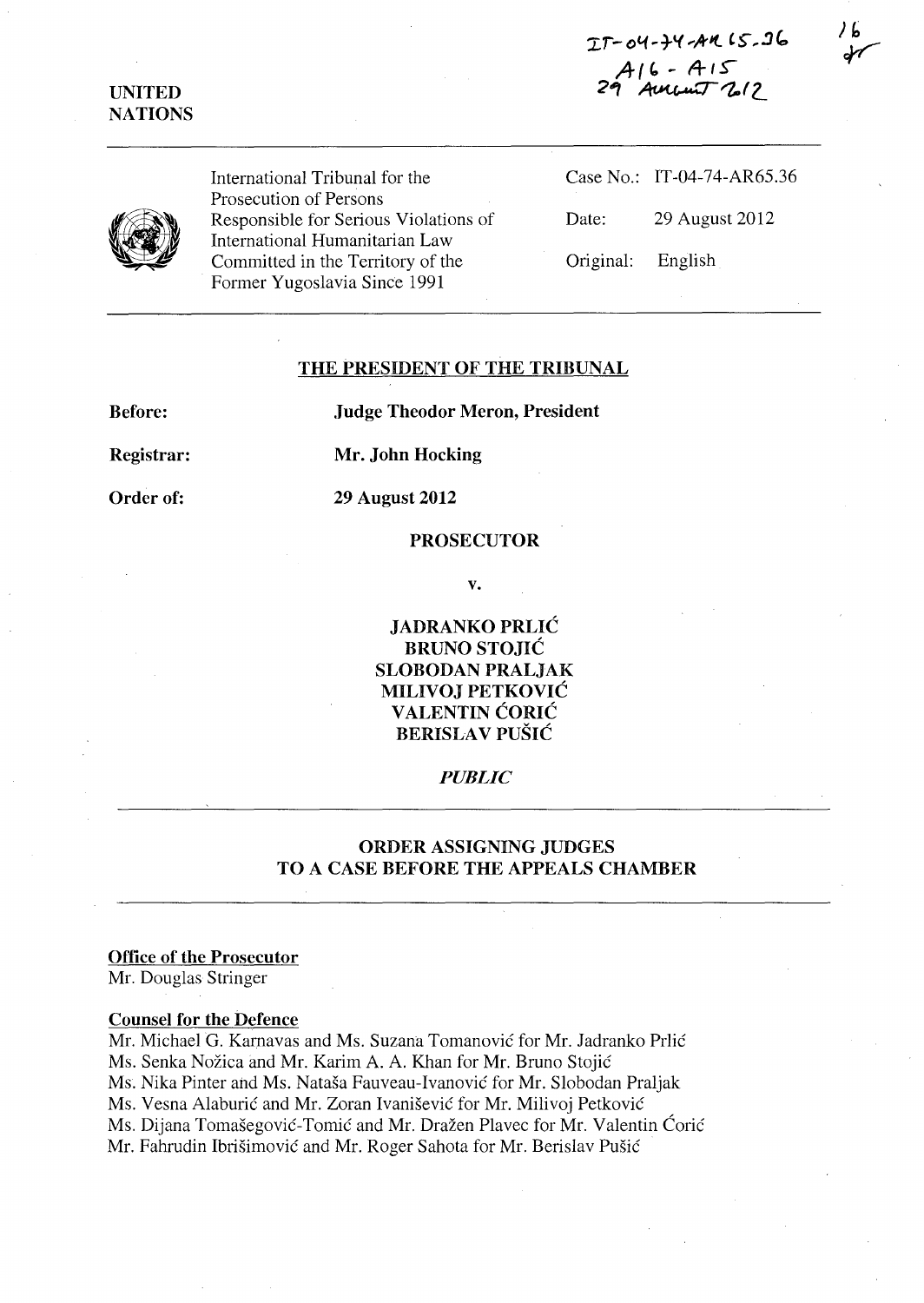'Ii-()"(~1-'( **... ,4-it** *'S",.::Jc:'*  **AI" - A-f.s-**29 Ament 212



International Tribunal for the Prosecution of Persons Responsible for Serious Violations of International Humanitarian Law Committed in the Territory of the Former Yugoslavia Since 1991

|                   | Case No.: IT-04-74-AR65.36 |
|-------------------|----------------------------|
| Date:             | 29 August 2012             |
| Original: English |                            |

### **THE PRESIDENT OF THE TRIBUNAL**

**Before:** 

**Judge Theodor Meron, President** 

**Registrar:** 

**Mr. John Hocking** 

**Order of:** 

**29 August 2012** 

### **PROSECUTOR**

**v.** 

**JADRANKO PRLIC BRUNO STOJIC SLOBODAN PRALJAK MILIVOJ PETKOVIC V ALENTIN CORIC BERISLA V PUSIC** 

# *PUBLIC*

# **ORDER ASSIGNING JUDGES TO A CASE BEFORE THE APPEALS CHAMBER**

### **Office of the Prosecutor**

Mr. Douglas Stringer

### **Counsel for the Defence**

Mr. Michael G. Kamavas and Ms. Suzana Tomanovic for Mr. ladranko Prlic Ms. Senka Nozica and Mr. Karim A. A. Khan for Mr. Bruno Stojic Ms. Nika Pinter and Ms. Natasa Fauveau-Ivanovic for Mr. Slobodan Praljak Ms. Vesna Alaburic and Mr. Zoran Ivanisevic for Mr. Milivoj PetkoviC Ms. Dijana Tomašegović-Tomić and Mr. Dražen Plavec for Mr. Valentin Ćorić Mr. Fahrudin Ibrisimovic and Mr. Roger Sahota for Mr. Berislav Pusic